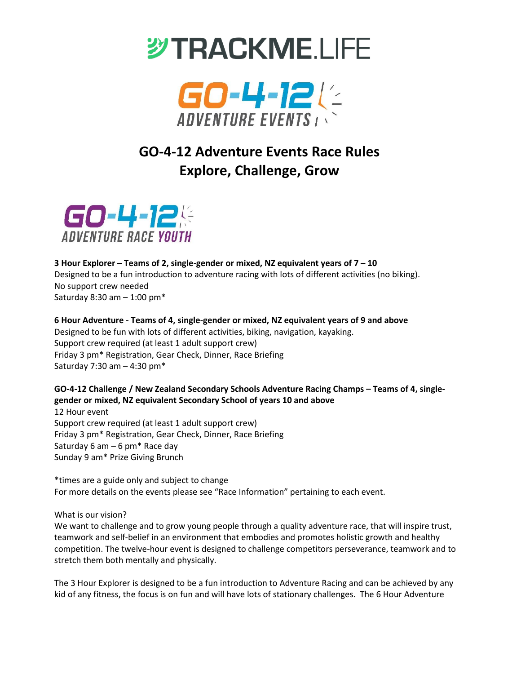



# **GO-4-12 Adventure Events Race Rules Explore, Challenge, Grow**



### **3 Hour Explorer – Teams of 2, single-gender or mixed, NZ equivalent years of 7 – 10** Designed to be a fun introduction to adventure racing with lots of different activities (no biking). No support crew needed Saturday 8:30 am – 1:00 pm\*

**6 Hour Adventure - Teams of 4, single-gender or mixed, NZ equivalent years of 9 and above**  Designed to be fun with lots of different activities, biking, navigation, kayaking. Support crew required (at least 1 adult support crew) Friday 3 pm\* Registration, Gear Check, Dinner, Race Briefing Saturday 7:30 am – 4:30 pm\*

## **GO-4-12 Challenge / New Zealand Secondary Schools Adventure Racing Champs – Teams of 4, singlegender or mixed, NZ equivalent Secondary School of years 10 and above**

12 Hour event Support crew required (at least 1 adult support crew) Friday 3 pm\* Registration, Gear Check, Dinner, Race Briefing Saturday 6 am  $-$  6 pm $*$  Race day Sunday 9 am\* Prize Giving Brunch

\*times are a guide only and subject to change For more details on the events please see "Race Information" pertaining to each event.

What is our vision?

We want to challenge and to grow young people through a quality adventure race, that will inspire trust, teamwork and self-belief in an environment that embodies and promotes holistic growth and healthy competition. The twelve-hour event is designed to challenge competitors perseverance, teamwork and to stretch them both mentally and physically.

The 3 Hour Explorer is designed to be a fun introduction to Adventure Racing and can be achieved by any kid of any fitness, the focus is on fun and will have lots of stationary challenges. The 6 Hour Adventure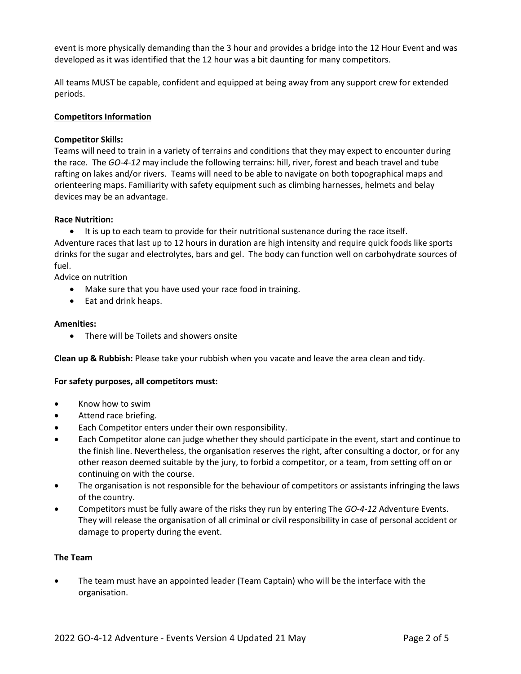event is more physically demanding than the 3 hour and provides a bridge into the 12 Hour Event and was developed as it was identified that the 12 hour was a bit daunting for many competitors.

All teams MUST be capable, confident and equipped at being away from any support crew for extended periods.

#### **Competitors Information**

#### **Competitor Skills:**

Teams will need to train in a variety of terrains and conditions that they may expect to encounter during the race. The *GO-4-12* may include the following terrains: hill, river, forest and beach travel and tube rafting on lakes and/or rivers. Teams will need to be able to navigate on both topographical maps and orienteering maps. Familiarity with safety equipment such as climbing harnesses, helmets and belay devices may be an advantage.

#### **Race Nutrition:**

• It is up to each team to provide for their nutritional sustenance during the race itself. Adventure races that last up to 12 hours in duration are high intensity and require quick foods like sports drinks for the sugar and electrolytes, bars and gel. The body can function well on carbohydrate sources of fuel.

Advice on nutrition

- Make sure that you have used your race food in training.
- Eat and drink heaps.

#### **Amenities:**

• There will be Toilets and showers onsite

**Clean up & Rubbish:** Please take your rubbish when you vacate and leave the area clean and tidy.

#### **For safety purposes, all competitors must:**

- Know how to swim
- Attend race briefing.
- Each Competitor enters under their own responsibility.
- Each Competitor alone can judge whether they should participate in the event, start and continue to the finish line. Nevertheless, the organisation reserves the right, after consulting a doctor, or for any other reason deemed suitable by the jury, to forbid a competitor, or a team, from setting off on or continuing on with the course.
- The organisation is not responsible for the behaviour of competitors or assistants infringing the laws of the country.
- Competitors must be fully aware of the risks they run by entering The *GO-4-12* Adventure Events. They will release the organisation of all criminal or civil responsibility in case of personal accident or damage to property during the event.

#### **The Team**

• The team must have an appointed leader (Team Captain) who will be the interface with the organisation.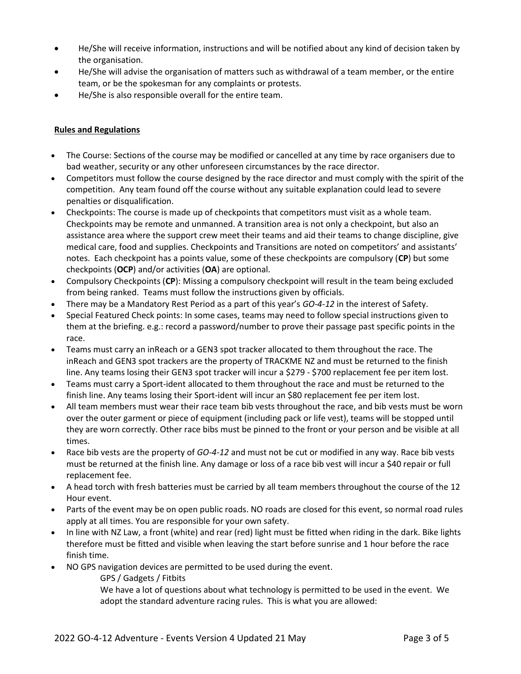- He/She will receive information, instructions and will be notified about any kind of decision taken by the organisation.
- He/She will advise the organisation of matters such as withdrawal of a team member, or the entire team, or be the spokesman for any complaints or protests.
- He/She is also responsible overall for the entire team.

#### **Rules and Regulations**

- The Course: Sections of the course may be modified or cancelled at any time by race organisers due to bad weather, security or any other unforeseen circumstances by the race director.
- Competitors must follow the course designed by the race director and must comply with the spirit of the competition. Any team found off the course without any suitable explanation could lead to severe penalties or disqualification.
- Checkpoints: The course is made up of checkpoints that competitors must visit as a whole team. Checkpoints may be remote and unmanned. A transition area is not only a checkpoint, but also an assistance area where the support crew meet their teams and aid their teams to change discipline, give medical care, food and supplies. Checkpoints and Transitions are noted on competitors' and assistants' notes. Each checkpoint has a points value, some of these checkpoints are compulsory (**CP**) but some checkpoints (**OCP**) and/or activities (**OA**) are optional.
- Compulsory Checkpoints (**CP**): Missing a compulsory checkpoint will result in the team being excluded from being ranked. Teams must follow the instructions given by officials.
- There may be a Mandatory Rest Period as a part of this year's *GO-4-12* in the interest of Safety.
- Special Featured Check points: In some cases, teams may need to follow special instructions given to them at the briefing. e.g.: record a password/number to prove their passage past specific points in the race.
- Teams must carry an inReach or a GEN3 spot tracker allocated to them throughout the race. The inReach and GEN3 spot trackers are the property of TRACKME NZ and must be returned to the finish line. Any teams losing their GEN3 spot tracker will incur a \$279 - \$700 replacement fee per item lost.
- Teams must carry a Sport-ident allocated to them throughout the race and must be returned to the finish line. Any teams losing their Sport-ident will incur an \$80 replacement fee per item lost.
- All team members must wear their race team bib vests throughout the race, and bib vests must be worn over the outer garment or piece of equipment (including pack or life vest), teams will be stopped until they are worn correctly. Other race bibs must be pinned to the front or your person and be visible at all times.
- Race bib vests are the property of *GO-4-12* and must not be cut or modified in any way. Race bib vests must be returned at the finish line. Any damage or loss of a race bib vest will incur a \$40 repair or full replacement fee.
- A head torch with fresh batteries must be carried by all team members throughout the course of the 12 Hour event.
- Parts of the event may be on open public roads. NO roads are closed for this event, so normal road rules apply at all times. You are responsible for your own safety.
- In line with NZ Law, a front (white) and rear (red) light must be fitted when riding in the dark. Bike lights therefore must be fitted and visible when leaving the start before sunrise and 1 hour before the race finish time.
- NO GPS navigation devices are permitted to be used during the event.

GPS / Gadgets / Fitbits

We have a lot of questions about what technology is permitted to be used in the event. We adopt the standard adventure racing rules. This is what you are allowed: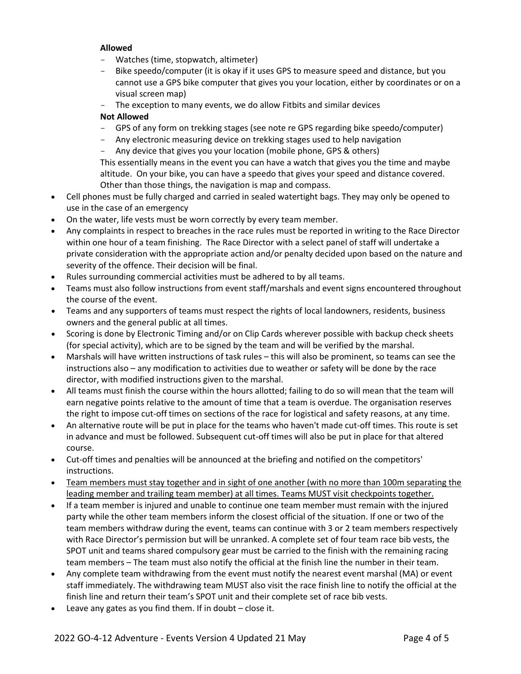#### **Allowed**

- Watches (time, stopwatch, altimeter)
- Bike speedo/computer (it is okay if it uses GPS to measure speed and distance, but you cannot use a GPS bike computer that gives you your location, either by coordinates or on a visual screen map)
- The exception to many events, we do allow Fitbits and similar devices

#### **Not Allowed**

- GPS of any form on trekking stages (see note re GPS regarding bike speedo/computer)
- Any electronic measuring device on trekking stages used to help navigation
- Any device that gives you your location (mobile phone, GPS & others)

This essentially means in the event you can have a watch that gives you the time and maybe altitude. On your bike, you can have a speedo that gives your speed and distance covered. Other than those things, the navigation is map and compass.

- Cell phones must be fully charged and carried in sealed watertight bags. They may only be opened to use in the case of an emergency
- On the water, life vests must be worn correctly by every team member.
- Any complaints in respect to breaches in the race rules must be reported in writing to the Race Director within one hour of a team finishing. The Race Director with a select panel of staff will undertake a private consideration with the appropriate action and/or penalty decided upon based on the nature and severity of the offence. Their decision will be final.
- Rules surrounding commercial activities must be adhered to by all teams.
- Teams must also follow instructions from event staff/marshals and event signs encountered throughout the course of the event.
- Teams and any supporters of teams must respect the rights of local landowners, residents, business owners and the general public at all times.
- Scoring is done by Electronic Timing and/or on Clip Cards wherever possible with backup check sheets (for special activity), which are to be signed by the team and will be verified by the marshal.
- Marshals will have written instructions of task rules this will also be prominent, so teams can see the instructions also – any modification to activities due to weather or safety will be done by the race director, with modified instructions given to the marshal.
- All teams must finish the course within the hours allotted; failing to do so will mean that the team will earn negative points relative to the amount of time that a team is overdue. The organisation reserves the right to impose cut-off times on sections of the race for logistical and safety reasons, at any time.
- An alternative route will be put in place for the teams who haven't made cut-off times. This route is set in advance and must be followed. Subsequent cut-off times will also be put in place for that altered course.
- Cut-off times and penalties will be announced at the briefing and notified on the competitors' instructions.
- Team members must stay together and in sight of one another (with no more than 100m separating the leading member and trailing team member) at all times. Teams MUST visit checkpoints together.
- If a team member is injured and unable to continue one team member must remain with the injured party while the other team members inform the closest official of the situation. If one or two of the team members withdraw during the event, teams can continue with 3 or 2 team members respectively with Race Director's permission but will be unranked. A complete set of four team race bib vests, the SPOT unit and teams shared compulsory gear must be carried to the finish with the remaining racing team members – The team must also notify the official at the finish line the number in their team.
- Any complete team withdrawing from the event must notify the nearest event marshal (MA) or event staff immediately. The withdrawing team MUST also visit the race finish line to notify the official at the finish line and return their team's SPOT unit and their complete set of race bib vests.
- Leave any gates as you find them. If in doubt  $-$  close it.